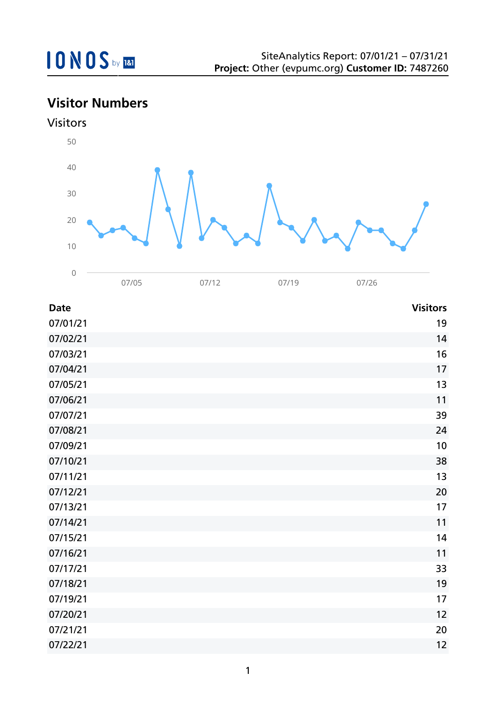

## **Visitor Numbers**





| <b>Date</b> | <b>Visitors</b> |
|-------------|-----------------|
| 07/01/21    | 19              |
| 07/02/21    | 14              |
| 07/03/21    | 16              |
| 07/04/21    | 17              |
| 07/05/21    | 13              |
| 07/06/21    | 11              |
| 07/07/21    | 39              |
| 07/08/21    | 24              |
| 07/09/21    | 10              |
| 07/10/21    | 38              |
| 07/11/21    | 13              |
| 07/12/21    | 20              |
| 07/13/21    | 17              |
| 07/14/21    | 11              |
| 07/15/21    | 14              |
| 07/16/21    | 11              |
| 07/17/21    | 33              |
| 07/18/21    | 19              |
| 07/19/21    | 17              |
| 07/20/21    | 12              |
| 07/21/21    | 20              |
| 07/22/21    | 12              |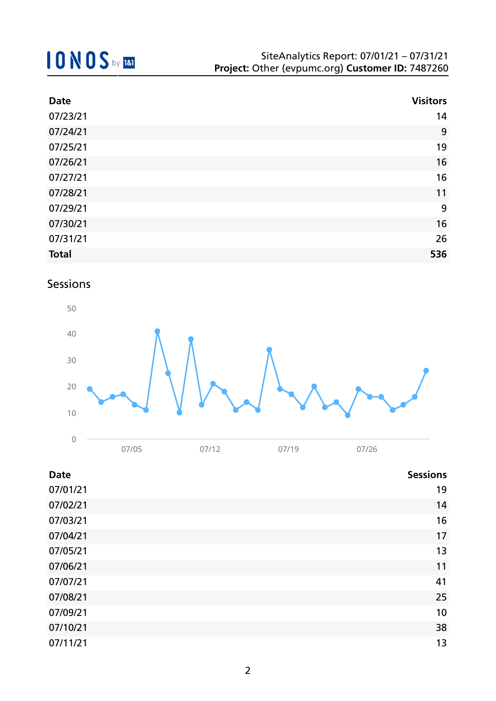| <b>Date</b>  | <b>Visitors</b> |
|--------------|-----------------|
| 07/23/21     | 14              |
| 07/24/21     | 9               |
| 07/25/21     | 19              |
| 07/26/21     | 16              |
| 07/27/21     | 16              |
| 07/28/21     | 11              |
| 07/29/21     | 9               |
| 07/30/21     | 16              |
| 07/31/21     | 26              |
| <b>Total</b> | 536             |

### Sessions



| <b>Date</b> | <b>Sessions</b> |
|-------------|-----------------|
| 07/01/21    | 19              |
| 07/02/21    | 14              |
| 07/03/21    | 16              |
| 07/04/21    | 17              |
| 07/05/21    | 13              |
| 07/06/21    | 11              |
| 07/07/21    | 41              |
| 07/08/21    | 25              |
| 07/09/21    | 10              |
| 07/10/21    | 38              |
| 07/11/21    | 13              |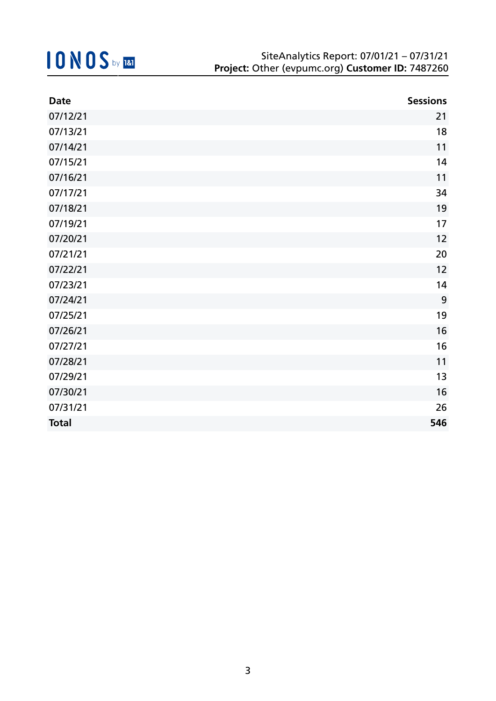| <b>Date</b>  | <b>Sessions</b> |
|--------------|-----------------|
| 07/12/21     | 21              |
| 07/13/21     | 18              |
| 07/14/21     | 11              |
| 07/15/21     | 14              |
| 07/16/21     | 11              |
| 07/17/21     | 34              |
| 07/18/21     | 19              |
| 07/19/21     | 17              |
| 07/20/21     | 12              |
| 07/21/21     | 20              |
| 07/22/21     | 12              |
| 07/23/21     | 14              |
| 07/24/21     | 9               |
| 07/25/21     | 19              |
| 07/26/21     | 16              |
| 07/27/21     | 16              |
| 07/28/21     | 11              |
| 07/29/21     | 13              |
| 07/30/21     | 16              |
| 07/31/21     | 26              |
| <b>Total</b> | 546             |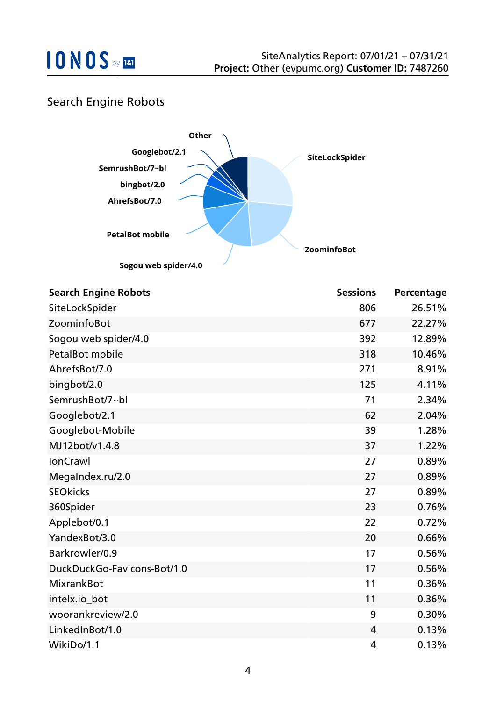

### Search Engine Robots



| <b>Search Engine Robots</b> | <b>Sessions</b> | Percentage |
|-----------------------------|-----------------|------------|
| SiteLockSpider              | 806             | 26.51%     |
| ZoominfoBot                 | 677             | 22.27%     |
| Sogou web spider/4.0        | 392             | 12.89%     |
| <b>PetalBot mobile</b>      | 318             | 10.46%     |
| AhrefsBot/7.0               | 271             | 8.91%      |
| bingbot/2.0                 | 125             | 4.11%      |
| SemrushBot/7~bl             | 71              | 2.34%      |
| Googlebot/2.1               | 62              | 2.04%      |
| Googlebot-Mobile            | 39              | 1.28%      |
| MJ12bot/v1.4.8              | 37              | 1.22%      |
| <b>IonCrawl</b>             | 27              | 0.89%      |
| MegaIndex.ru/2.0            | 27              | 0.89%      |
| <b>SEOkicks</b>             | 27              | 0.89%      |
| 360Spider                   | 23              | 0.76%      |
| Applebot/0.1                | 22              | 0.72%      |
| YandexBot/3.0               | 20              | 0.66%      |
| Barkrowler/0.9              | 17              | 0.56%      |
| DuckDuckGo-Favicons-Bot/1.0 | 17              | 0.56%      |
| <b>MixrankBot</b>           | 11              | 0.36%      |
| intelx.io_bot               | 11              | 0.36%      |
| woorankreview/2.0           | 9               | 0.30%      |
| LinkedInBot/1.0             | 4               | 0.13%      |
| WikiDo/1.1                  | 4               | 0.13%      |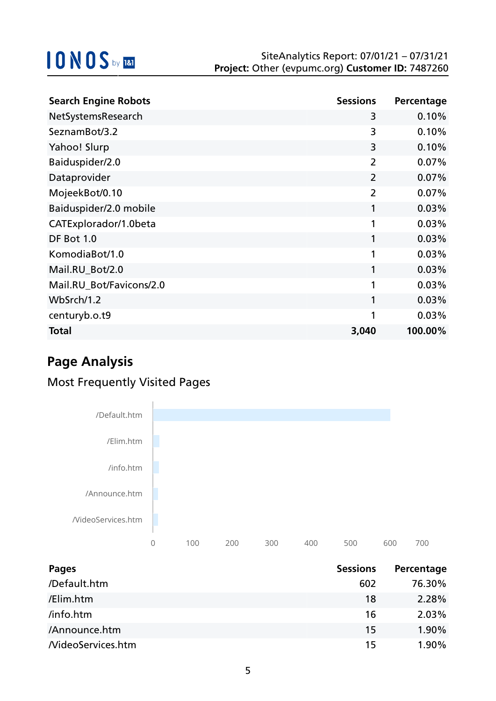| <b>Search Engine Robots</b> | <b>Sessions</b> | Percentage |
|-----------------------------|-----------------|------------|
| NetSystemsResearch          | 3               | 0.10%      |
| SeznamBot/3.2               | 3               | 0.10%      |
| Yahoo! Slurp                | 3               | 0.10%      |
| Baiduspider/2.0             | $\overline{2}$  | 0.07%      |
| Dataprovider                | $\overline{2}$  | 0.07%      |
| MojeekBot/0.10              | $\overline{2}$  | 0.07%      |
| Baiduspider/2.0 mobile      | 1               | 0.03%      |
| CATExplorador/1.0beta       | 1               | 0.03%      |
| DF Bot 1.0                  | 1               | 0.03%      |
| KomodiaBot/1.0              | 1               | 0.03%      |
| Mail.RU_Bot/2.0             | 1               | 0.03%      |
| Mail.RU_Bot/Favicons/2.0    | 1               | 0.03%      |
| WbSrch/1.2                  | 1               | 0.03%      |
| centuryb.o.t9               | 1               | 0.03%      |
| <b>Total</b>                | 3,040           | 100.00%    |

## **Page Analysis**

## Most Frequently Visited Pages



| <b>Pages</b>      | <b>Sessions</b> | Percentage |
|-------------------|-----------------|------------|
| /Default.htm      | 602             | 76.30%     |
| /Elim.htm         | 18              | 2.28%      |
| /info.htm         | 16              | 2.03%      |
| /Announce.htm     | 15              | 1.90%      |
| NideoServices.htm | 15              | 1.90%      |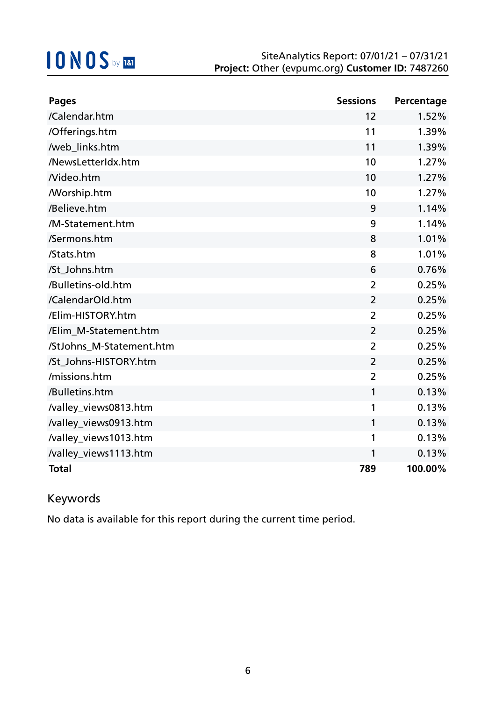| <b>Pages</b>             | <b>Sessions</b> | Percentage |
|--------------------------|-----------------|------------|
| /Calendar.htm            | 12              | 1.52%      |
| /Offerings.htm           | 11              | 1.39%      |
| /web_links.htm           | 11              | 1.39%      |
| /NewsLetterIdx.htm       | 10              | 1.27%      |
| Nideo.htm                | 10              | 1.27%      |
| <b>Morship.htm</b>       | 10              | 1.27%      |
| /Believe.htm             | 9               | 1.14%      |
| /M-Statement.htm         | 9               | 1.14%      |
| /Sermons.htm             | 8               | 1.01%      |
| /Stats.htm               | 8               | 1.01%      |
| /St_Johns.htm            | 6               | 0.76%      |
| /Bulletins-old.htm       | $\overline{2}$  | 0.25%      |
| /CalendarOld.htm         | $\overline{2}$  | 0.25%      |
| /Elim-HISTORY.htm        | 2               | 0.25%      |
| /Elim M-Statement.htm    | $\overline{2}$  | 0.25%      |
| /StJohns_M-Statement.htm | $\overline{2}$  | 0.25%      |
| /St_Johns-HISTORY.htm    | $\overline{2}$  | 0.25%      |
| /missions.htm            | $\overline{2}$  | 0.25%      |
| /Bulletins.htm           | 1               | 0.13%      |
| /valley_views0813.htm    | 1               | 0.13%      |
| /valley_views0913.htm    | 1               | 0.13%      |
| /valley_views1013.htm    | 1               | 0.13%      |
| /valley_views1113.htm    | 1               | 0.13%      |
| <b>Total</b>             | 789             | 100.00%    |

## Keywords

No data is available for this report during the current time period.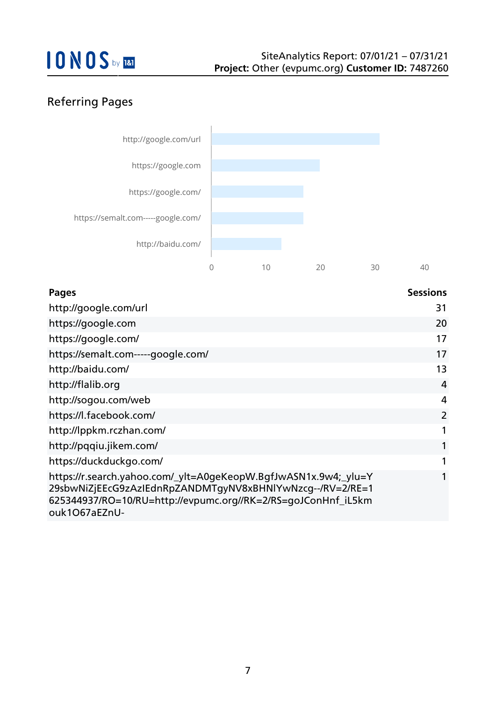## Referring Pages



| <b>Pages</b>                                                                                                                                                                                                   | <b>Sessions</b> |
|----------------------------------------------------------------------------------------------------------------------------------------------------------------------------------------------------------------|-----------------|
| http://google.com/url                                                                                                                                                                                          | 31              |
| https://google.com                                                                                                                                                                                             | 20              |
| https://google.com/                                                                                                                                                                                            | 17              |
| https://semalt.com-----google.com/                                                                                                                                                                             | 17              |
| http://baidu.com/                                                                                                                                                                                              | 13              |
| http://flalib.org                                                                                                                                                                                              | 4               |
| http://sogou.com/web                                                                                                                                                                                           | $\overline{4}$  |
| https://l.facebook.com/                                                                                                                                                                                        | $\overline{2}$  |
| http://lppkm.rczhan.com/                                                                                                                                                                                       | $\mathbf{1}$    |
| http://pqqiu.jikem.com/                                                                                                                                                                                        |                 |
| https://duckduckgo.com/                                                                                                                                                                                        |                 |
| https://r.search.yahoo.com/_ylt=A0geKeopW.BgfJwASN1x.9w4;_ylu=Y<br>29sbwNiZjEEcG9zAzIEdnRpZANDMTgyNV8xBHNlYwNzcg--/RV=2/RE=1<br>625344937/RO=10/RU=http://evpumc.org//RK=2/RS=goJConHnf_iL5km<br>ouk1067aEZnU- |                 |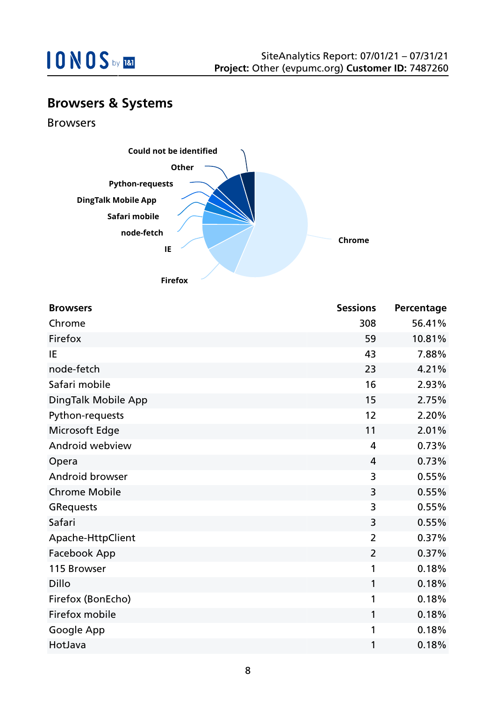

## **Browsers & Systems**

Browsers



| <b>Browsers</b>      | <b>Sessions</b> | Percentage |
|----------------------|-----------------|------------|
| Chrome               | 308             | 56.41%     |
| Firefox              | 59              | 10.81%     |
| IE                   | 43              | 7.88%      |
| node-fetch           | 23              | 4.21%      |
| Safari mobile        | 16              | 2.93%      |
| DingTalk Mobile App  | 15              | 2.75%      |
| Python-requests      | 12              | 2.20%      |
| Microsoft Edge       | 11              | 2.01%      |
| Android webview      | 4               | 0.73%      |
| Opera                | $\overline{4}$  | 0.73%      |
| Android browser      | 3               | 0.55%      |
| <b>Chrome Mobile</b> | 3               | 0.55%      |
| <b>GRequests</b>     | 3               | 0.55%      |
| Safari               | 3               | 0.55%      |
| Apache-HttpClient    | $\overline{2}$  | 0.37%      |
| Facebook App         | $\overline{2}$  | 0.37%      |
| 115 Browser          | 1               | 0.18%      |
| <b>Dillo</b>         | 1               | 0.18%      |
| Firefox (BonEcho)    | 1               | 0.18%      |
| Firefox mobile       | 1               | 0.18%      |
| Google App           | 1               | 0.18%      |
| HotJava              | 1               | 0.18%      |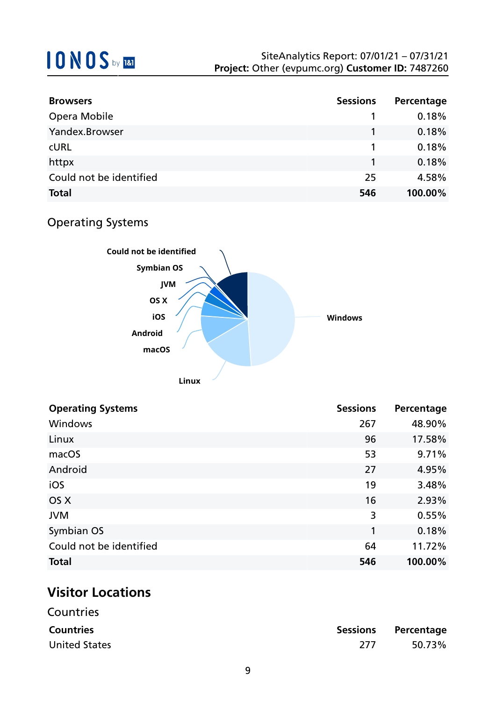| <b>Browsers</b>         | <b>Sessions</b> | Percentage |
|-------------------------|-----------------|------------|
| Opera Mobile            |                 | 0.18%      |
| Yandex.Browser          |                 | 0.18%      |
| <b>CURL</b>             |                 | 0.18%      |
| httpx                   |                 | 0.18%      |
| Could not be identified | 25              | 4.58%      |
| <b>Total</b>            | 546             | 100.00%    |

## Operating Systems



| <b>Operating Systems</b> | <b>Sessions</b> | Percentage |
|--------------------------|-----------------|------------|
| Windows                  | 267             | 48.90%     |
| Linux                    | 96              | 17.58%     |
| macOS                    | 53              | 9.71%      |
| Android                  | 27              | 4.95%      |
| iOS                      | 19              | 3.48%      |
| OS X                     | 16              | 2.93%      |
| <b>JVM</b>               | 3               | 0.55%      |
| Symbian OS               | 1               | 0.18%      |
| Could not be identified  | 64              | 11.72%     |
| <b>Total</b>             | 546             | 100.00%    |

## **Visitor Locations**

| Countries            |      |                     |
|----------------------|------|---------------------|
| <b>Countries</b>     |      | Sessions Percentage |
| <b>United States</b> | -277 | 50.73%              |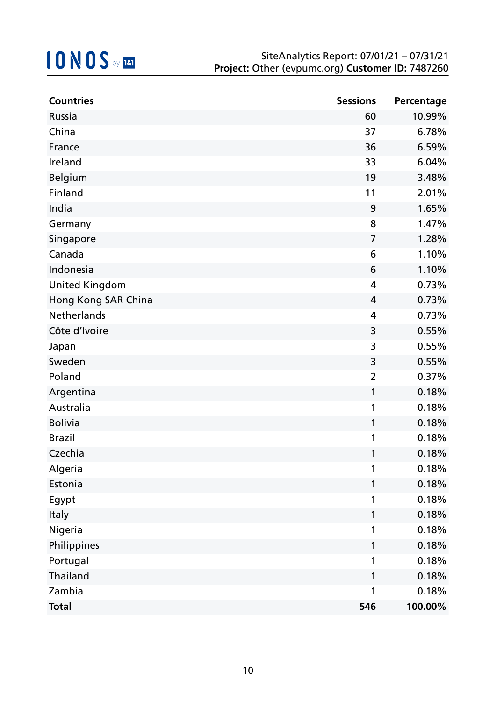| <b>Countries</b>      | <b>Sessions</b> | Percentage |
|-----------------------|-----------------|------------|
| Russia                | 60              | 10.99%     |
| China                 | 37              | 6.78%      |
| France                | 36              | 6.59%      |
| Ireland               | 33              | 6.04%      |
| Belgium               | 19              | 3.48%      |
| <b>Finland</b>        | 11              | 2.01%      |
| India                 | 9               | 1.65%      |
| Germany               | 8               | 1.47%      |
| Singapore             | $\overline{7}$  | 1.28%      |
| Canada                | 6               | 1.10%      |
| Indonesia             | 6               | 1.10%      |
| <b>United Kingdom</b> | 4               | 0.73%      |
| Hong Kong SAR China   | 4               | 0.73%      |
| Netherlands           | 4               | 0.73%      |
| Côte d'Ivoire         | 3               | 0.55%      |
| Japan                 | 3               | 0.55%      |
| Sweden                | 3               | 0.55%      |
| Poland                | $\overline{2}$  | 0.37%      |
| Argentina             | 1               | 0.18%      |
| Australia             | 1               | 0.18%      |
| <b>Bolivia</b>        | 1               | 0.18%      |
| <b>Brazil</b>         | 1               | 0.18%      |
| Czechia               | 1               | 0.18%      |
| Algeria               |                 | 0.18%      |
| Estonia               | 1               | 0.18%      |
| Egypt                 | 1               | 0.18%      |
| Italy                 | 1               | 0.18%      |
| Nigeria               | 1               | 0.18%      |
| Philippines           | 1               | 0.18%      |
| Portugal              | 1               | 0.18%      |
| Thailand              | 1               | 0.18%      |
| Zambia                | 1               | 0.18%      |
| <b>Total</b>          | 546             | 100.00%    |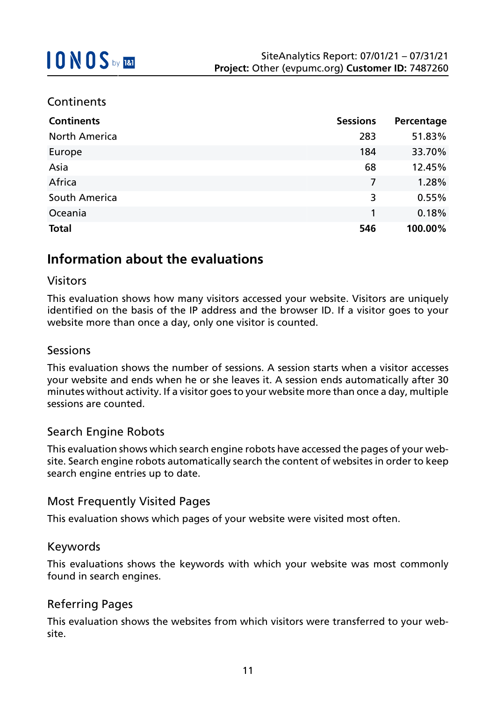### **Continents**

| <b>Continents</b>    | <b>Sessions</b> | Percentage |
|----------------------|-----------------|------------|
| <b>North America</b> | 283             | 51.83%     |
| Europe               | 184             | 33.70%     |
| Asia                 | 68              | 12.45%     |
| Africa               | 7               | 1.28%      |
| South America        | 3               | 0.55%      |
| Oceania              | 1               | 0.18%      |
| <b>Total</b>         | 546             | 100.00%    |

## **Information about the evaluations**

#### Visitors

This evaluation shows how many visitors accessed your website. Visitors are uniquely identified on the basis of the IP address and the browser ID. If a visitor goes to your website more than once a day, only one visitor is counted.

#### Sessions

This evaluation shows the number of sessions. A session starts when a visitor accesses your website and ends when he or she leaves it. A session ends automatically after 30 minutes without activity. If a visitor goes to your website more than once a day, multiple sessions are counted.

#### Search Engine Robots

This evaluation shows which search engine robots have accessed the pages of your website. Search engine robots automatically search the content of websites in order to keep search engine entries up to date.

#### Most Frequently Visited Pages

This evaluation shows which pages of your website were visited most often.

#### Keywords

This evaluations shows the keywords with which your website was most commonly found in search engines.

#### Referring Pages

This evaluation shows the websites from which visitors were transferred to your website.